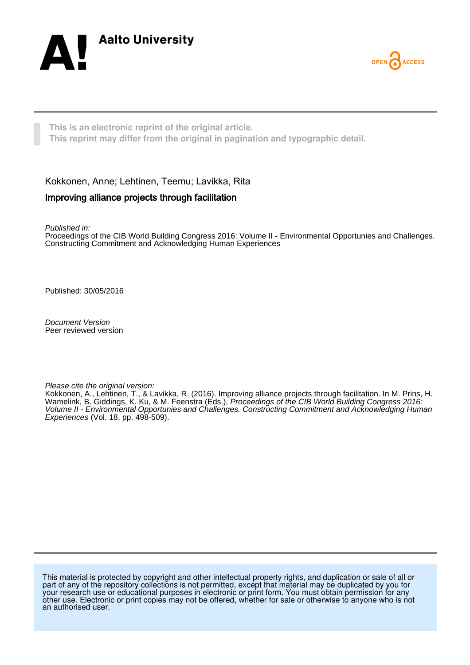



**This is an electronic reprint of the original article. This reprint may differ from the original in pagination and typographic detail.**

Kokkonen, Anne; Lehtinen, Teemu; Lavikka, Rita

#### Improving alliance projects through facilitation

Published in:

Proceedings of the CIB World Building Congress 2016: Volume II - Environmental Opportunies and Challenges. Constructing Commitment and Acknowledging Human Experiences

Published: 30/05/2016

Document Version Peer reviewed version

Please cite the original version:

Kokkonen, A., Lehtinen, T., & Lavikka, R. (2016). Improving alliance projects through facilitation. In M. Prins, H. Wamelink, B. Giddings, K. Ku, & M. Feenstra (Eds.), Proceedings of the CIB World Building Congress 2016: Volume II - Environmental Opportunies and Challenges. Constructing Commitment and Acknowledging Human Experiences (Vol. 18, pp. 498-509).

This material is protected by copyright and other intellectual property rights, and duplication or sale of all or part of any of the repository collections is not permitted, except that material may be duplicated by you for your research use or educational purposes in electronic or print form. You must obtain permission for any other use. Electronic or print copies may not be offered, whether for sale or otherwise to anyone who is not an authorised user.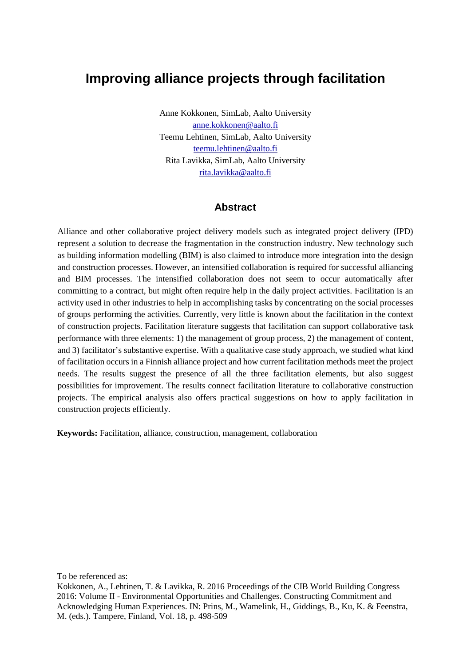# **Improving alliance projects through facilitation**

Anne Kokkonen, SimLab, Aalto University [anne.kokkonen@aalto.fi](mailto:anne.kokkonen@aalto.fi) Teemu Lehtinen, SimLab, Aalto University [teemu.lehtinen@aalto.fi](mailto:teemu.lehtinen@aalto.fi) Rita Lavikka, SimLab, Aalto University [rita.lavikka@aalto.fi](mailto:rita.lavikka@aalto.fi)

#### **Abstract**

Alliance and other collaborative project delivery models such as integrated project delivery (IPD) represent a solution to decrease the fragmentation in the construction industry. New technology such as building information modelling (BIM) is also claimed to introduce more integration into the design and construction processes. However, an intensified collaboration is required for successful alliancing and BIM processes. The intensified collaboration does not seem to occur automatically after committing to a contract, but might often require help in the daily project activities. Facilitation is an activity used in other industries to help in accomplishing tasks by concentrating on the social processes of groups performing the activities. Currently, very little is known about the facilitation in the context of construction projects. Facilitation literature suggests that facilitation can support collaborative task performance with three elements: 1) the management of group process, 2) the management of content, and 3) facilitator's substantive expertise. With a qualitative case study approach, we studied what kind of facilitation occurs in a Finnish alliance project and how current facilitation methods meet the project needs. The results suggest the presence of all the three facilitation elements, but also suggest possibilities for improvement. The results connect facilitation literature to collaborative construction projects. The empirical analysis also offers practical suggestions on how to apply facilitation in construction projects efficiently.

**Keywords:** Facilitation, alliance, construction, management, collaboration

To be referenced as:

Kokkonen, A., Lehtinen, T. & Lavikka, R. 2016 Proceedings of the CIB World Building Congress 2016: Volume II - Environmental Opportunities and Challenges. Constructing Commitment and Acknowledging Human Experiences. IN: Prins, M., Wamelink, H., Giddings, B., Ku, K. & Feenstra, M. (eds.). Tampere, Finland, Vol. 18, p. 498-509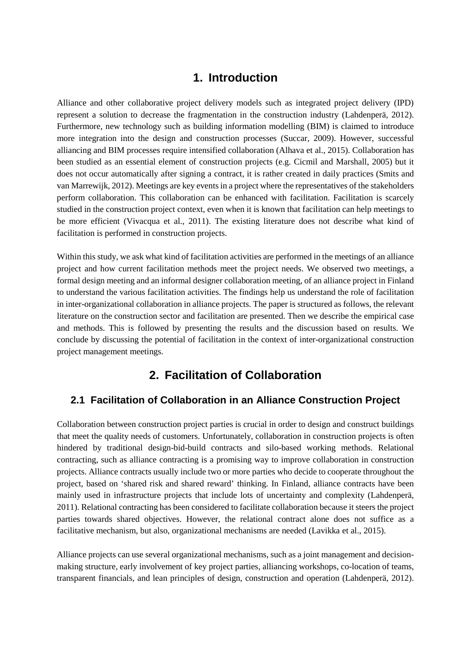### **1. Introduction**

Alliance and other collaborative project delivery models such as integrated project delivery (IPD) represent a solution to decrease the fragmentation in the construction industry (Lahdenperä, 2012). Furthermore, new technology such as building information modelling (BIM) is claimed to introduce more integration into the design and construction processes (Succar, 2009). However, successful alliancing and BIM processes require intensified collaboration (Alhava et al., 2015). Collaboration has been studied as an essential element of construction projects (e.g. Cicmil and Marshall, 2005) but it does not occur automatically after signing a contract, it is rather created in daily practices (Smits and van Marrewijk, 2012). Meetings are key eventsin a project where the representatives of the stakeholders perform collaboration. This collaboration can be enhanced with facilitation. Facilitation is scarcely studied in the construction project context, even when it is known that facilitation can help meetings to be more efficient (Vivacqua et al., 2011). The existing literature does not describe what kind of facilitation is performed in construction projects.

Within this study, we ask what kind of facilitation activities are performed in the meetings of an alliance project and how current facilitation methods meet the project needs. We observed two meetings, a formal design meeting and an informal designer collaboration meeting, of an alliance project in Finland to understand the various facilitation activities. The findings help us understand the role of facilitation in inter-organizational collaboration in alliance projects. The paper is structured as follows, the relevant literature on the construction sector and facilitation are presented. Then we describe the empirical case and methods. This is followed by presenting the results and the discussion based on results. We conclude by discussing the potential of facilitation in the context of inter-organizational construction project management meetings.

## **2. Facilitation of Collaboration**

#### **2.1 Facilitation of Collaboration in an Alliance Construction Project**

Collaboration between construction project parties is crucial in order to design and construct buildings that meet the quality needs of customers. Unfortunately, collaboration in construction projects is often hindered by traditional design-bid-build contracts and silo-based working methods. Relational contracting, such as alliance contracting is a promising way to improve collaboration in construction projects. Alliance contracts usually include two or more parties who decide to cooperate throughout the project, based on 'shared risk and shared reward' thinking. In Finland, alliance contracts have been mainly used in infrastructure projects that include lots of uncertainty and complexity (Lahdenperä, 2011). Relational contracting has been considered to facilitate collaboration because it steers the project parties towards shared objectives. However, the relational contract alone does not suffice as a facilitative mechanism, but also, organizational mechanisms are needed (Lavikka et al., 2015).

Alliance projects can use several organizational mechanisms, such as a joint management and decisionmaking structure, early involvement of key project parties, alliancing workshops, co-location of teams, transparent financials, and lean principles of design, construction and operation (Lahdenperä, 2012).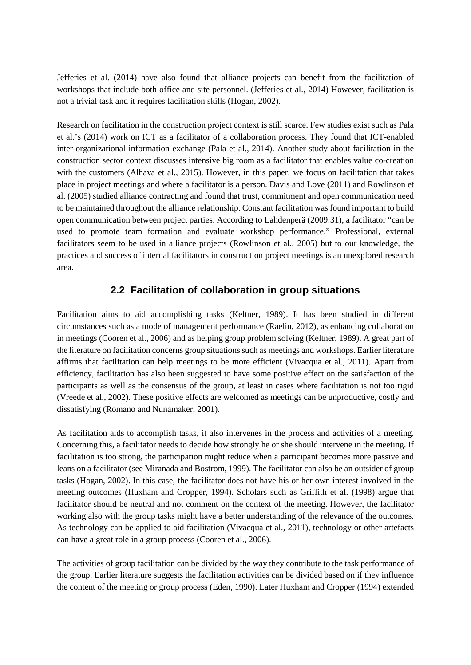Jefferies et al. (2014) have also found that alliance projects can benefit from the facilitation of workshops that include both office and site personnel. (Jefferies et al., 2014) However, facilitation is not a trivial task and it requires facilitation skills (Hogan, 2002).

Research on facilitation in the construction project context is still scarce. Few studies exist such as Pala et al.'s (2014) work on ICT as a facilitator of a collaboration process. They found that ICT-enabled inter-organizational information exchange (Pala et al., 2014). Another study about facilitation in the construction sector context discusses intensive big room as a facilitator that enables value co-creation with the customers (Alhava et al., 2015). However, in this paper, we focus on facilitation that takes place in project meetings and where a facilitator is a person. Davis and Love (2011) and Rowlinson et al. (2005) studied alliance contracting and found that trust, commitment and open communication need to be maintained throughout the alliance relationship. Constant facilitation was found important to build open communication between project parties. According to Lahdenperä (2009:31), a facilitator "can be used to promote team formation and evaluate workshop performance." Professional, external facilitators seem to be used in alliance projects (Rowlinson et al., 2005) but to our knowledge, the practices and success of internal facilitators in construction project meetings is an unexplored research area.

#### **2.2 Facilitation of collaboration in group situations**

Facilitation aims to aid accomplishing tasks (Keltner, 1989). It has been studied in different circumstances such as a mode of management performance (Raelin, 2012), as enhancing collaboration in meetings (Cooren et al., 2006) and as helping group problem solving (Keltner, 1989). A great part of the literature on facilitation concerns group situations such as meetings and workshops. Earlier literature affirms that facilitation can help meetings to be more efficient (Vivacqua et al., 2011). Apart from efficiency, facilitation has also been suggested to have some positive effect on the satisfaction of the participants as well as the consensus of the group, at least in cases where facilitation is not too rigid (Vreede et al., 2002). These positive effects are welcomed as meetings can be unproductive, costly and dissatisfying (Romano and Nunamaker, 2001).

As facilitation aids to accomplish tasks, it also intervenes in the process and activities of a meeting. Concerning this, a facilitator needs to decide how strongly he or she should intervene in the meeting. If facilitation is too strong, the participation might reduce when a participant becomes more passive and leans on a facilitator (see Miranada and Bostrom, 1999). The facilitator can also be an outsider of group tasks (Hogan, 2002). In this case, the facilitator does not have his or her own interest involved in the meeting outcomes (Huxham and Cropper, 1994). Scholars such as Griffith et al. (1998) argue that facilitator should be neutral and not comment on the context of the meeting. However, the facilitator working also with the group tasks might have a better understanding of the relevance of the outcomes. As technology can be applied to aid facilitation (Vivacqua et al., 2011), technology or other artefacts can have a great role in a group process (Cooren et al., 2006).

The activities of group facilitation can be divided by the way they contribute to the task performance of the group. Earlier literature suggests the facilitation activities can be divided based on if they influence the content of the meeting or group process (Eden, 1990). Later Huxham and Cropper (1994) extended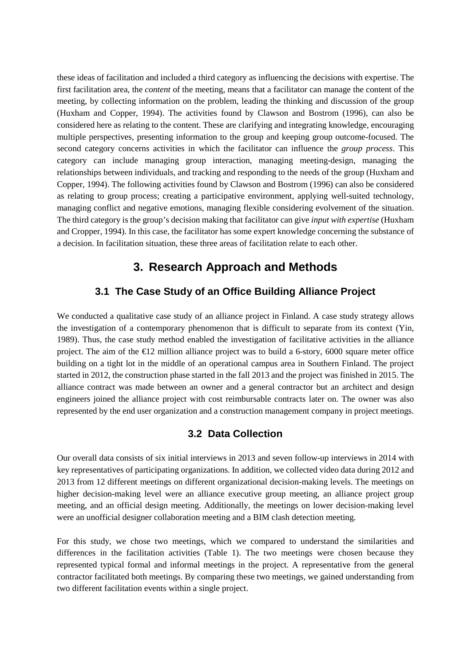these ideas of facilitation and included a third category as influencing the decisions with expertise. The first facilitation area, the *content* of the meeting, means that a facilitator can manage the content of the meeting, by collecting information on the problem, leading the thinking and discussion of the group (Huxham and Copper, 1994). The activities found by Clawson and Bostrom (1996), can also be considered here as relating to the content. These are clarifying and integrating knowledge, encouraging multiple perspectives, presenting information to the group and keeping group outcome-focused. The second category concerns activities in which the facilitator can influence the *group process*. This category can include managing group interaction, managing meeting-design, managing the relationships between individuals, and tracking and responding to the needs of the group (Huxham and Copper, 1994). The following activities found by Clawson and Bostrom (1996) can also be considered as relating to group process; creating a participative environment, applying well-suited technology, managing conflict and negative emotions, managing flexible considering evolvement of the situation. The third category is the group's decision making that facilitator can give *input with expertise* (Huxham and Cropper, 1994). In this case, the facilitator has some expert knowledge concerning the substance of a decision. In facilitation situation, these three areas of facilitation relate to each other.

### **3. Research Approach and Methods**

#### **3.1 The Case Study of an Office Building Alliance Project**

We conducted a qualitative case study of an alliance project in Finland. A case study strategy allows the investigation of a contemporary phenomenon that is difficult to separate from its context (Yin, 1989). Thus, the case study method enabled the investigation of facilitative activities in the alliance project. The aim of the  $\bigoplus$ 2 million alliance project was to build a 6-story, 6000 square meter office building on a tight lot in the middle of an operational campus area in Southern Finland. The project started in 2012, the construction phase started in the fall 2013 and the project was finished in 2015. The alliance contract was made between an owner and a general contractor but an architect and design engineers joined the alliance project with cost reimbursable contracts later on. The owner was also represented by the end user organization and a construction management company in project meetings.

#### **3.2 Data Collection**

Our overall data consists of six initial interviews in 2013 and seven follow-up interviews in 2014 with key representatives of participating organizations. In addition, we collected video data during 2012 and 2013 from 12 different meetings on different organizational decision-making levels. The meetings on higher decision-making level were an alliance executive group meeting, an alliance project group meeting, and an official design meeting. Additionally, the meetings on lower decision-making level were an unofficial designer collaboration meeting and a BIM clash detection meeting.

For this study, we chose two meetings, which we compared to understand the similarities and differences in the facilitation activities (Table 1). The two meetings were chosen because they represented typical formal and informal meetings in the project. A representative from the general contractor facilitated both meetings. By comparing these two meetings, we gained understanding from two different facilitation events within a single project.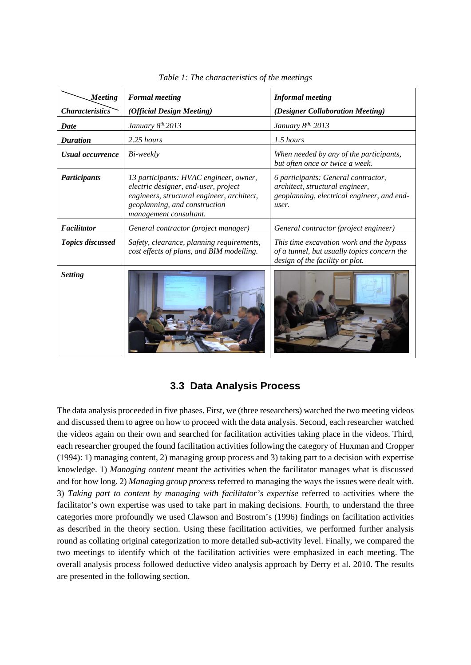| <b>Meeting</b>          | <b>Formal</b> meeting                                                                                                                                                                   | <b>Informal meeting</b>                                                                                                       |
|-------------------------|-----------------------------------------------------------------------------------------------------------------------------------------------------------------------------------------|-------------------------------------------------------------------------------------------------------------------------------|
| <i>Characteristics</i>  | (Official Design Meeting)                                                                                                                                                               | (Designer Collaboration Meeting)                                                                                              |
| <b>Date</b>             | January 8 <sup>th</sup> ,2013                                                                                                                                                           | January 8 <sup>th,</sup> 2013                                                                                                 |
| <b>Duration</b>         | $2.25$ hours                                                                                                                                                                            | $1.5$ hours                                                                                                                   |
| Usual occurrence        | Bi-weekly                                                                                                                                                                               | When needed by any of the participants,<br>but often once or twice a week.                                                    |
| <b>Participants</b>     | 13 participants: HVAC engineer, owner,<br>electric designer, end-user, project<br>engineers, structural engineer, architect,<br>geoplanning, and construction<br>management consultant. | 6 participants: General contractor,<br>architect, structural engineer,<br>geoplanning, electrical engineer, and end-<br>user. |
| Facilitator             | General contractor (project manager)                                                                                                                                                    | General contractor (project engineer)                                                                                         |
| <b>Topics discussed</b> | Safety, clearance, planning requirements,<br>cost effects of plans, and BIM modelling.                                                                                                  | This time excavation work and the bypass<br>of a tunnel, but usually topics concern the<br>design of the facility or plot.    |
| <b>Setting</b>          |                                                                                                                                                                                         |                                                                                                                               |

*Table 1: The characteristics of the meetings*

#### **3.3 Data Analysis Process**

The data analysis proceeded in five phases. First, we (three researchers) watched the two meeting videos and discussed them to agree on how to proceed with the data analysis. Second, each researcher watched the videos again on their own and searched for facilitation activities taking place in the videos. Third, each researcher grouped the found facilitation activities following the category of Huxman and Cropper (1994): 1) managing content, 2) managing group process and 3) taking part to a decision with expertise knowledge. 1) *Managing content* meant the activities when the facilitator manages what is discussed and for how long. 2) *Managing group process* referred to managing the ways the issues were dealt with. 3) *Taking part to content by managing with facilitator's expertise* referred to activities where the facilitator's own expertise was used to take part in making decisions. Fourth, to understand the three categories more profoundly we used Clawson and Bostrom's (1996) findings on facilitation activities as described in the theory section. Using these facilitation activities, we performed further analysis round as collating original categorization to more detailed sub-activity level. Finally, we compared the two meetings to identify which of the facilitation activities were emphasized in each meeting. The overall analysis process followed deductive video analysis approach by Derry et al. 2010. The results are presented in the following section.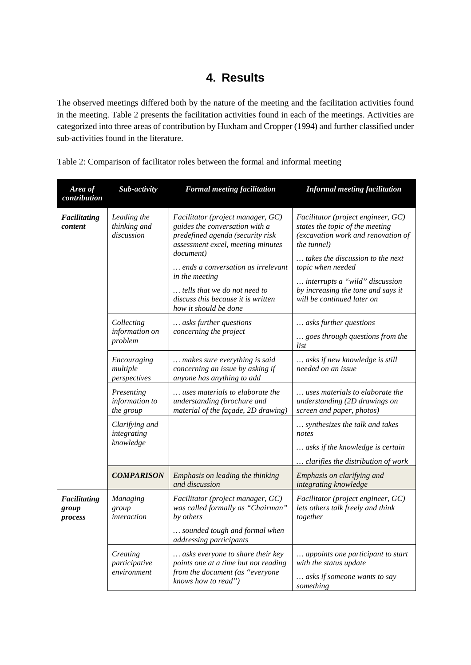# **4. Results**

The observed meetings differed both by the nature of the meeting and the facilitation activities found in the meeting. Table 2 presents the facilitation activities found in each of the meetings. Activities are categorized into three areas of contribution by Huxham and Cropper (1994) and further classified under sub-activities found in the literature.

| Area of<br>contribution          | Sub-activity                               | <b>Formal meeting facilitation</b>                                                                                                                                                                                                                                                                              | <b>Informal meeting facilitation</b>                                                                                                                                                                                                                                                              |
|----------------------------------|--------------------------------------------|-----------------------------------------------------------------------------------------------------------------------------------------------------------------------------------------------------------------------------------------------------------------------------------------------------------------|---------------------------------------------------------------------------------------------------------------------------------------------------------------------------------------------------------------------------------------------------------------------------------------------------|
| Facilitating<br>content          | Leading the<br>thinking and<br>discussion  | Facilitator (project manager, GC)<br>guides the conversation with a<br>predefined agenda (security risk<br>assessment excel, meeting minutes<br>document)<br>ends a conversation as irrelevant<br>in the meeting<br>tells that we do not need to<br>discuss this because it is written<br>how it should be done | Facilitator (project engineer, GC)<br>states the topic of the meeting<br>(excavation work and renovation of<br><i>the tunnel</i> )<br>takes the discussion to the next<br>topic when needed<br>interrupts a "wild" discussion<br>by increasing the tone and says it<br>will be continued later on |
|                                  | Collecting<br>information on<br>problem    | asks further questions<br>concerning the project                                                                                                                                                                                                                                                                | asks further questions<br>goes through questions from the<br>list                                                                                                                                                                                                                                 |
|                                  | Encouraging<br>multiple<br>perspectives    | makes sure everything is said<br>concerning an issue by asking if<br>anyone has anything to add                                                                                                                                                                                                                 | asks if new knowledge is still<br>needed on an issue                                                                                                                                                                                                                                              |
|                                  | Presenting<br>information to<br>the group  | uses materials to elaborate the<br>understanding (brochure and<br>material of the façade, 2D drawing)                                                                                                                                                                                                           | uses materials to elaborate the<br>understanding (2D drawings on<br>screen and paper, photos)                                                                                                                                                                                                     |
|                                  | Clarifying and<br>integrating<br>knowledge |                                                                                                                                                                                                                                                                                                                 | synthesizes the talk and takes<br>notes<br>asks if the knowledge is certain<br>clarifies the distribution of work                                                                                                                                                                                 |
|                                  | <b>COMPARISON</b>                          | Emphasis on leading the thinking<br>and discussion                                                                                                                                                                                                                                                              | Emphasis on clarifying and<br>integrating knowledge                                                                                                                                                                                                                                               |
| Facilitating<br>group<br>process | Managing<br>group<br>interaction           | Facilitator (project manager, GC)<br>was called formally as "Chairman"<br>by others<br>sounded tough and formal when<br>addressing participants                                                                                                                                                                 | Facilitator (project engineer, GC)<br>lets others talk freely and think<br>together                                                                                                                                                                                                               |
|                                  | Creating<br>participative<br>environment   | asks everyone to share their key<br>points one at a time but not reading<br>from the document (as "everyone<br>knows how to read")                                                                                                                                                                              | appoints one participant to start<br>with the status update<br>asks if someone wants to say<br>something                                                                                                                                                                                          |

Table 2: Comparison of facilitator roles between the formal and informal meeting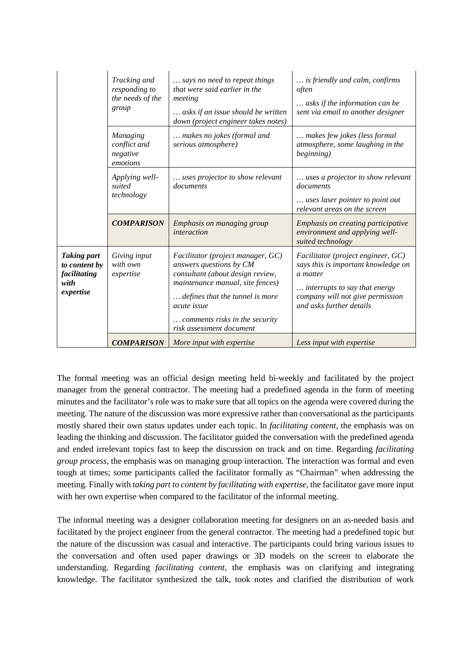|                                                                          | Tracking and<br>responding to<br>the needs of the<br>group | says no need to repeat things<br>that were said earlier in the<br>meeting<br>asks if an issue should be written<br>down (project engineer takes notes)                                                                                               | is friendly and calm, confirms<br><i>often</i><br>asks if the information can be<br>sent via email to another designer                                                                 |
|--------------------------------------------------------------------------|------------------------------------------------------------|------------------------------------------------------------------------------------------------------------------------------------------------------------------------------------------------------------------------------------------------------|----------------------------------------------------------------------------------------------------------------------------------------------------------------------------------------|
|                                                                          | Managing<br>conflict and<br>negative<br>emotions           | makes no jokes (formal and<br>serious atmosphere)                                                                                                                                                                                                    | makes few jokes (less formal<br>atmosphere, some laughing in the<br>beginning)                                                                                                         |
|                                                                          | Applying well-<br>suited<br>technology                     | uses projector to show relevant<br>documents                                                                                                                                                                                                         | uses a projector to show relevant<br>documents<br>uses laser pointer to point out<br>relevant areas on the screen                                                                      |
|                                                                          | <b>COMPARISON</b>                                          | Emphasis on managing group<br>interaction                                                                                                                                                                                                            | Emphasis on creating participative<br>environment and applying well-<br>suited technology                                                                                              |
| <b>Taking part</b><br>to content by<br>facilitating<br>with<br>expertise | Giving input<br>with own<br>expertise                      | Facilitator (project manager, GC)<br>answers questions by CM<br>consultant (about design review,<br>maintenance manual, site fences)<br>defines that the tunnel is more<br>acute issue<br>comments risks in the security<br>risk assessment document | Facilitator (project engineer, GC)<br>says this is important knowledge on<br>a matter<br>interrupts to say that energy<br>company will not give permission<br>and asks further details |
|                                                                          | <b>COMPARISON</b>                                          | More input with expertise                                                                                                                                                                                                                            | Less input with expertise                                                                                                                                                              |

The formal meeting was an official design meeting held bi-weekly and facilitated by the project manager from the general contractor. The meeting had a predefined agenda in the form of meeting minutes and the facilitator's role was to make sure that all topics on the agenda were covered during the meeting. The nature of the discussion was more expressive rather than conversational as the participants mostly shared their own status updates under each topic. In *facilitating content*, the emphasis was on leading the thinking and discussion. The facilitator guided the conversation with the predefined agenda and ended irrelevant topics fast to keep the discussion on track and on time. Regarding *facilitating group process*, the emphasis was on managing group interaction. The interaction was formal and even tough at times; some participants called the facilitator formally as "Chairman" when addressing the meeting. Finally with *taking part to content by facilitating with expertise*, the facilitator gave more input with her own expertise when compared to the facilitator of the informal meeting.

The informal meeting was a designer collaboration meeting for designers on an as-needed basis and facilitated by the project engineer from the general contractor. The meeting had a predefined topic but the nature of the discussion was casual and interactive. The participants could bring various issues to the conversation and often used paper drawings or 3D models on the screen to elaborate the understanding. Regarding *facilitating content*, the emphasis was on clarifying and integrating knowledge. The facilitator synthesized the talk, took notes and clarified the distribution of work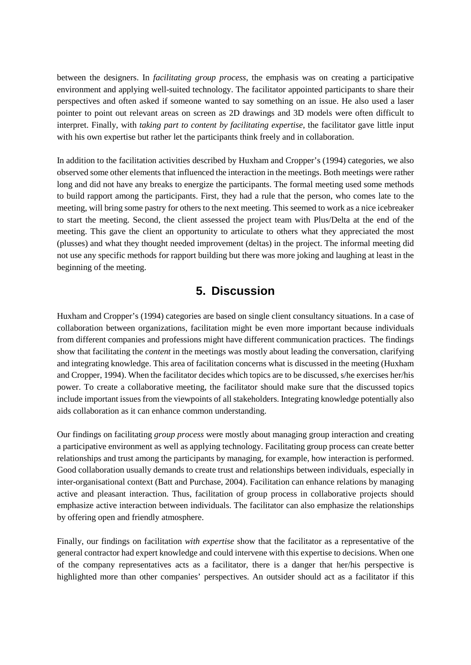between the designers. In *facilitating group process*, the emphasis was on creating a participative environment and applying well-suited technology. The facilitator appointed participants to share their perspectives and often asked if someone wanted to say something on an issue. He also used a laser pointer to point out relevant areas on screen as 2D drawings and 3D models were often difficult to interpret. Finally, with *taking part to content by facilitating expertise*, the facilitator gave little input with his own expertise but rather let the participants think freely and in collaboration.

In addition to the facilitation activities described by Huxham and Cropper's (1994) categories, we also observed some other elements that influenced the interaction in the meetings. Both meetings were rather long and did not have any breaks to energize the participants. The formal meeting used some methods to build rapport among the participants. First, they had a rule that the person, who comes late to the meeting, will bring some pastry for others to the next meeting. This seemed to work as a nice icebreaker to start the meeting. Second, the client assessed the project team with Plus/Delta at the end of the meeting. This gave the client an opportunity to articulate to others what they appreciated the most (plusses) and what they thought needed improvement (deltas) in the project. The informal meeting did not use any specific methods for rapport building but there was more joking and laughing at least in the beginning of the meeting.

## **5. Discussion**

Huxham and Cropper's (1994) categories are based on single client consultancy situations. In a case of collaboration between organizations, facilitation might be even more important because individuals from different companies and professions might have different communication practices. The findings show that facilitating the *content* in the meetings was mostly about leading the conversation, clarifying and integrating knowledge. This area of facilitation concerns what is discussed in the meeting (Huxham and Cropper, 1994). When the facilitator decides which topics are to be discussed, s/he exercises her/his power. To create a collaborative meeting, the facilitator should make sure that the discussed topics include important issues from the viewpoints of all stakeholders. Integrating knowledge potentially also aids collaboration as it can enhance common understanding.

Our findings on facilitating *group process* were mostly about managing group interaction and creating a participative environment as well as applying technology. Facilitating group process can create better relationships and trust among the participants by managing, for example, how interaction is performed. Good collaboration usually demands to create trust and relationships between individuals, especially in inter-organisational context (Batt and Purchase, 2004). Facilitation can enhance relations by managing active and pleasant interaction. Thus, facilitation of group process in collaborative projects should emphasize active interaction between individuals. The facilitator can also emphasize the relationships by offering open and friendly atmosphere.

Finally, our findings on facilitation *with expertise* show that the facilitator as a representative of the general contractor had expert knowledge and could intervene with this expertise to decisions. When one of the company representatives acts as a facilitator, there is a danger that her/his perspective is highlighted more than other companies' perspectives. An outsider should act as a facilitator if this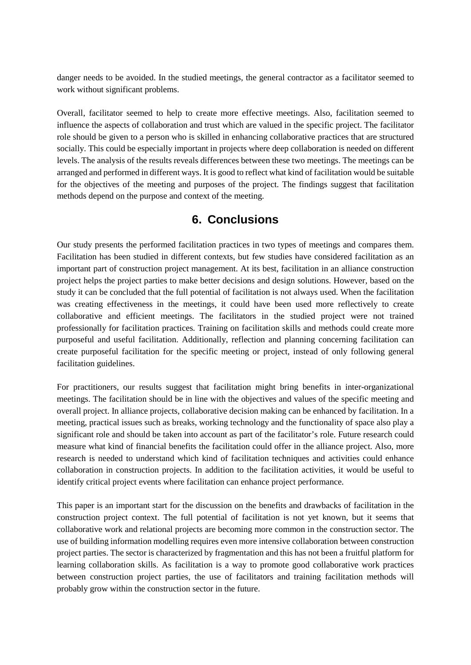danger needs to be avoided. In the studied meetings, the general contractor as a facilitator seemed to work without significant problems.

Overall, facilitator seemed to help to create more effective meetings. Also, facilitation seemed to influence the aspects of collaboration and trust which are valued in the specific project. The facilitator role should be given to a person who is skilled in enhancing collaborative practices that are structured socially. This could be especially important in projects where deep collaboration is needed on different levels. The analysis of the results reveals differences between these two meetings. The meetings can be arranged and performed in different ways. It is good to reflect what kind of facilitation would be suitable for the objectives of the meeting and purposes of the project. The findings suggest that facilitation methods depend on the purpose and context of the meeting.

## **6. Conclusions**

Our study presents the performed facilitation practices in two types of meetings and compares them. Facilitation has been studied in different contexts, but few studies have considered facilitation as an important part of construction project management. At its best, facilitation in an alliance construction project helps the project parties to make better decisions and design solutions. However, based on the study it can be concluded that the full potential of facilitation is not always used. When the facilitation was creating effectiveness in the meetings, it could have been used more reflectively to create collaborative and efficient meetings. The facilitators in the studied project were not trained professionally for facilitation practices. Training on facilitation skills and methods could create more purposeful and useful facilitation. Additionally, reflection and planning concerning facilitation can create purposeful facilitation for the specific meeting or project, instead of only following general facilitation guidelines.

For practitioners, our results suggest that facilitation might bring benefits in inter-organizational meetings. The facilitation should be in line with the objectives and values of the specific meeting and overall project. In alliance projects, collaborative decision making can be enhanced by facilitation. In a meeting, practical issues such as breaks, working technology and the functionality of space also play a significant role and should be taken into account as part of the facilitator's role. Future research could measure what kind of financial benefits the facilitation could offer in the alliance project. Also, more research is needed to understand which kind of facilitation techniques and activities could enhance collaboration in construction projects. In addition to the facilitation activities, it would be useful to identify critical project events where facilitation can enhance project performance.

This paper is an important start for the discussion on the benefits and drawbacks of facilitation in the construction project context. The full potential of facilitation is not yet known, but it seems that collaborative work and relational projects are becoming more common in the construction sector. The use of building information modelling requires even more intensive collaboration between construction project parties. The sector is characterized by fragmentation and this has not been a fruitful platform for learning collaboration skills. As facilitation is a way to promote good collaborative work practices between construction project parties, the use of facilitators and training facilitation methods will probably grow within the construction sector in the future.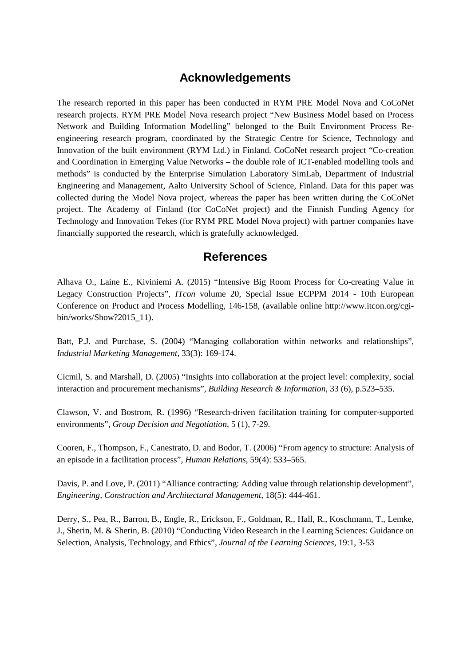## **Acknowledgements**

The research reported in this paper has been conducted in RYM PRE Model Nova and CoCoNet research projects. RYM PRE Model Nova research project "New Business Model based on Process Network and Building Information Modelling" belonged to the Built Environment Process Reengineering research program, coordinated by the Strategic Centre for Science, Technology and Innovation of the built environment (RYM Ltd.) in Finland. CoCoNet research project "Co-creation and Coordination in Emerging Value Networks – the double role of ICT-enabled modelling tools and methods" is conducted by the Enterprise Simulation Laboratory SimLab, Department of Industrial Engineering and Management, Aalto University School of Science, Finland. Data for this paper was collected during the Model Nova project, whereas the paper has been written during the CoCoNet project. The Academy of Finland (for CoCoNet project) and the Finnish Funding Agency for Technology and Innovation Tekes (for RYM PRE Model Nova project) with partner companies have financially supported the research, which is gratefully acknowledged.

### **References**

Alhava O., Laine E., Kiviniemi A. (2015) "Intensive Big Room Process for Co-creating Value in Legacy Construction Projects", *ITcon* volume 20, Special Issue ECPPM 2014 - 10th European Conference on Product and Process Modelling, 146-158, (available online http://www.itcon.org/cgibin/works/Show?2015\_11).

Batt, P.J. and Purchase, S. (2004) "Managing collaboration within networks and relationships", *Industrial Marketing Management*, 33(3): 169-174.

Cicmil, S. and Marshall, D. (2005) "Insights into collaboration at the project level: complexity, social interaction and procurement mechanisms", *Building Research & Information*, 33 (6), p.523–535.

Clawson, V. and Bostrom, R. (1996) "Research-driven facilitation training for computer-supported environments", *Group Decision and Negotiation*, 5 (1), 7-29.

Cooren, F., Thompson, F., Canestrato, D. and Bodor, T. (2006) "From agency to structure: Analysis of an episode in a facilitation process", *Human Relations*, 59(4): 533–565.

Davis, P. and Love, P. (2011) "Alliance contracting: Adding value through relationship development", *Engineering, Construction and Architectural Management*, 18(5): 444-461.

Derry, S., Pea, R., Barron, B., Engle, R., Erickson, F., Goldman, R., Hall, R., Koschmann, T., Lemke, J., Sherin, M. & Sherin, B. (2010) "Conducting Video Research in the Learning Sciences: Guidance on Selection, Analysis, Technology, and Ethics", *Journal of the Learning Sciences*, 19:1, 3-53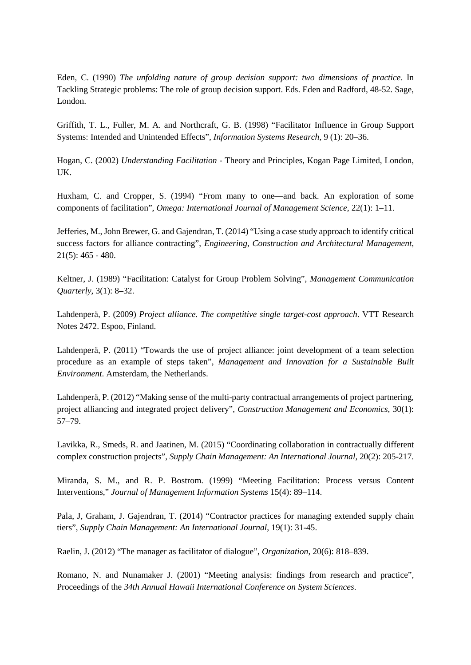Eden, C. (1990) *The unfolding nature of group decision support: two dimensions of practice*. In Tackling Strategic problems: The role of group decision support. Eds. Eden and Radford, 48-52. Sage, London.

Griffith, T. L., Fuller, M. A. and Northcraft, G. B. (1998) "Facilitator Influence in Group Support Systems: Intended and Unintended Effects", *Information Systems Research*, 9 (1): 20–36.

Hogan, C. (2002) *Understanding Facilitation* - Theory and Principles, Kogan Page Limited, London, UK.

Huxham, C. and Cropper, S. (1994) "From many to one—and back. An exploration of some components of facilitation", *Omega: International Journal of Management Science*, 22(1): 1–11.

Jefferies, M., John Brewer, G. and Gajendran, T. (2014) "Using a case study approach to identify critical success factors for alliance contracting", *Engineering, Construction and Architectural Management*, 21(5): 465 - 480.

Keltner, J. (1989) "Facilitation: Catalyst for Group Problem Solving", *Management Communication Quarterly*, 3(1): 8–32.

Lahdenperä, P. (2009) *Project alliance. The competitive single target-cost approach*. VTT Research Notes 2472. Espoo, Finland.

Lahdenperä, P. (2011) "Towards the use of project alliance: joint development of a team selection procedure as an example of steps taken", *Management and Innovation for a Sustainable Built Environment*. Amsterdam, the Netherlands.

Lahdenperä, P. (2012) "Making sense of the multi-party contractual arrangements of project partnering, project alliancing and integrated project delivery", *Construction Management and Economics*, 30(1): 57–79.

Lavikka, R., Smeds, R. and Jaatinen, M. (2015) "Coordinating collaboration in contractually different complex construction projects", *Supply Chain Management: An International Journal*, 20(2): 205-217.

Miranda, S. M., and R. P. Bostrom. (1999) "Meeting Facilitation: Process versus Content Interventions," *Journal of Management Information Systems* 15(4): 89–114.

Pala, J, Graham, J. Gajendran, T. (2014) "Contractor practices for managing extended supply chain tiers", *Supply Chain Management: An International Journal*, 19(1): 31-45.

Raelin, J. (2012) "The manager as facilitator of dialogue", *Organization*, 20(6): 818–839.

Romano, N. and Nunamaker J. (2001) "Meeting analysis: findings from research and practice", Proceedings of the *34th Annual Hawaii International Conference on System Sciences*.